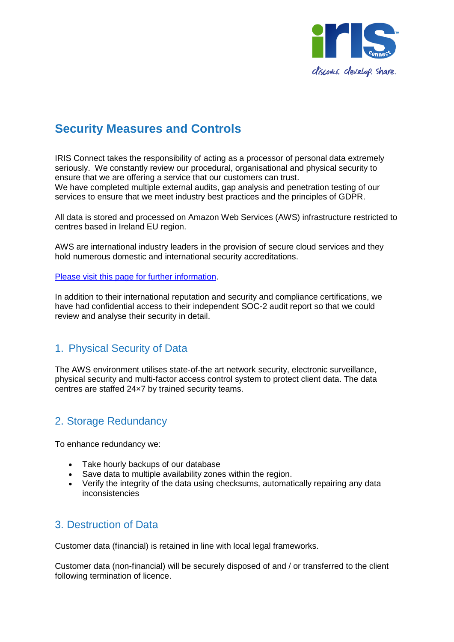

# **Security Measures and Controls**

IRIS Connect takes the responsibility of acting as a processor of personal data extremely seriously. We constantly review our procedural, organisational and physical security to ensure that we are offering a service that our customers can trust. We have completed multiple external audits, gap analysis and penetration testing of our services to ensure that we meet industry best practices and the principles of GDPR.

All data is stored and processed on Amazon Web Services (AWS) infrastructure restricted to centres based in Ireland EU region.

AWS are international industry leaders in the provision of secure cloud services and they hold numerous domestic and international security accreditations.

[Please visit this page for further information.](https://aws.amazon.com/compliance/pci-data-privacy-protection-hipaa-soc-fedramp-faqs/)

In addition to their international reputation and security and compliance certifications, we have had confidential access to their independent SOC-2 audit report so that we could review and analyse their security in detail.

## 1. Physical Security of Data

The AWS environment utilises state-of-the art network security, electronic surveillance, physical security and multi-factor access control system to protect client data. The data centres are staffed 24×7 by trained security teams.

## 2. Storage Redundancy

To enhance redundancy we:

- Take hourly backups of our database
- Save data to multiple availability zones within the region.
- Verify the integrity of the data using checksums, automatically repairing any data inconsistencies

## 3. Destruction of Data

Customer data (financial) is retained in line with local legal frameworks.

Customer data (non-financial) will be securely disposed of and / or transferred to the client following termination of licence.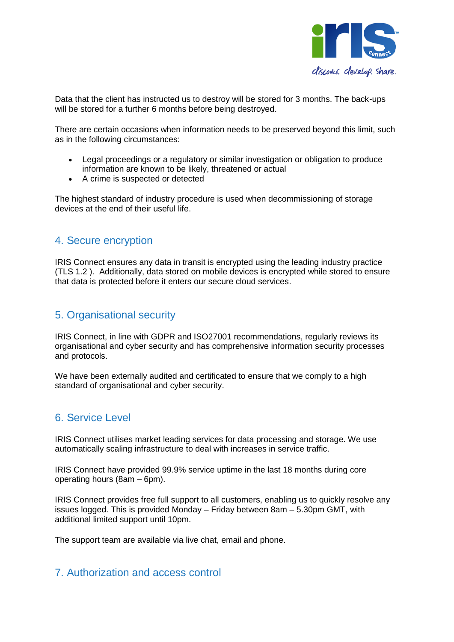

Data that the client has instructed us to destroy will be stored for 3 months. The back-ups will be stored for a further 6 months before being destroyed.

There are certain occasions when information needs to be preserved beyond this limit, such as in the following circumstances:

- Legal proceedings or a regulatory or similar investigation or obligation to produce information are known to be likely, threatened or actual
- A crime is suspected or detected

The highest standard of industry procedure is used when decommissioning of storage devices at the end of their useful life.

## 4. Secure encryption

IRIS Connect ensures any data in transit is encrypted using the leading industry practice (TLS 1.2 ). Additionally, data stored on mobile devices is encrypted while stored to ensure that data is protected before it enters our secure cloud services.

#### 5. Organisational security

IRIS Connect, in line with GDPR and ISO27001 recommendations, regularly reviews its organisational and cyber security and has comprehensive information security processes and protocols.

We have been externally audited and certificated to ensure that we comply to a high standard of organisational and cyber security.

## 6. Service Level

IRIS Connect utilises market leading services for data processing and storage. We use automatically scaling infrastructure to deal with increases in service traffic.

IRIS Connect have provided 99.9% service uptime in the last 18 months during core operating hours (8am – 6pm).

IRIS Connect provides free full support to all customers, enabling us to quickly resolve any issues logged. This is provided Monday – Friday between 8am – 5.30pm GMT, with additional limited support until 10pm.

The support team are available via live chat, email and phone.

## 7. Authorization and access control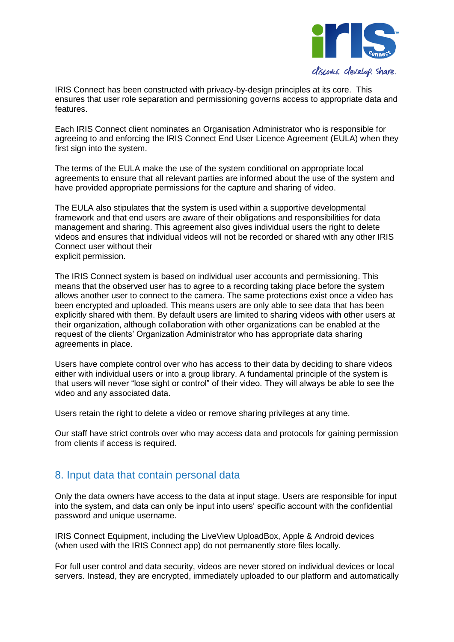

IRIS Connect has been constructed with privacy-by-design principles at its core. This ensures that user role separation and permissioning governs access to appropriate data and features.

Each IRIS Connect client nominates an Organisation Administrator who is responsible for agreeing to and enforcing the IRIS Connect End User Licence Agreement (EULA) when they first sign into the system.

The terms of the EULA make the use of the system conditional on appropriate local agreements to ensure that all relevant parties are informed about the use of the system and have provided appropriate permissions for the capture and sharing of video.

The EULA also stipulates that the system is used within a supportive developmental framework and that end users are aware of their obligations and responsibilities for data management and sharing. This agreement also gives individual users the right to delete videos and ensures that individual videos will not be recorded or shared with any other IRIS Connect user without their explicit permission.

The IRIS Connect system is based on individual user accounts and permissioning. This means that the observed user has to agree to a recording taking place before the system allows another user to connect to the camera. The same protections exist once a video has been encrypted and uploaded. This means users are only able to see data that has been explicitly shared with them. By default users are limited to sharing videos with other users at their organization, although collaboration with other organizations can be enabled at the request of the clients' Organization Administrator who has appropriate data sharing agreements in place.

Users have complete control over who has access to their data by deciding to share videos either with individual users or into a group library. A fundamental principle of the system is that users will never "lose sight or control" of their video. They will always be able to see the video and any associated data.

Users retain the right to delete a video or remove sharing privileges at any time.

Our staff have strict controls over who may access data and protocols for gaining permission from clients if access is required.

#### 8. Input data that contain personal data

Only the data owners have access to the data at input stage. Users are responsible for input into the system, and data can only be input into users' specific account with the confidential password and unique username.

IRIS Connect Equipment, including the LiveView UploadBox, Apple & Android devices (when used with the IRIS Connect app) do not permanently store files locally.

For full user control and data security, videos are never stored on individual devices or local servers. Instead, they are encrypted, immediately uploaded to our platform and automatically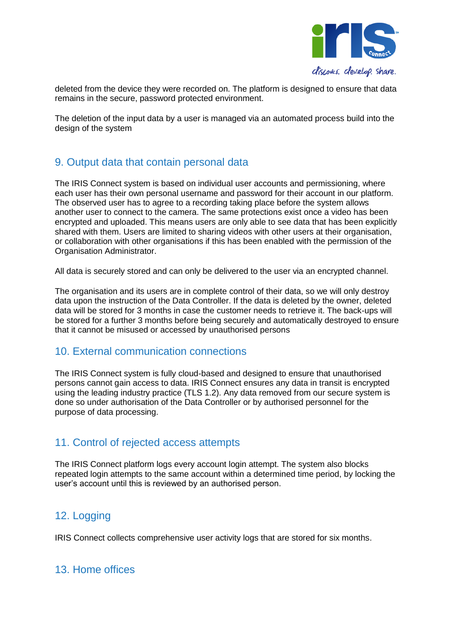

deleted from the device they were recorded on. The platform is designed to ensure that data remains in the secure, password protected environment.

The deletion of the input data by a user is managed via an automated process build into the design of the system

## 9. Output data that contain personal data

The IRIS Connect system is based on individual user accounts and permissioning, where each user has their own personal username and password for their account in our platform. The observed user has to agree to a recording taking place before the system allows another user to connect to the camera. The same protections exist once a video has been encrypted and uploaded. This means users are only able to see data that has been explicitly shared with them. Users are limited to sharing videos with other users at their organisation, or collaboration with other organisations if this has been enabled with the permission of the Organisation Administrator.

All data is securely stored and can only be delivered to the user via an encrypted channel.

The organisation and its users are in complete control of their data, so we will only destroy data upon the instruction of the Data Controller. If the data is deleted by the owner, deleted data will be stored for 3 months in case the customer needs to retrieve it. The back-ups will be stored for a further 3 months before being securely and automatically destroyed to ensure that it cannot be misused or accessed by unauthorised persons

#### 10. External communication connections

The IRIS Connect system is fully cloud-based and designed to ensure that unauthorised persons cannot gain access to data. IRIS Connect ensures any data in transit is encrypted using the leading industry practice (TLS 1.2). Any data removed from our secure system is done so under authorisation of the Data Controller or by authorised personnel for the purpose of data processing.

## 11. Control of rejected access attempts

The IRIS Connect platform logs every account login attempt. The system also blocks repeated login attempts to the same account within a determined time period, by locking the user's account until this is reviewed by an authorised person.

## 12. Logging

IRIS Connect collects comprehensive user activity logs that are stored for six months.

## 13. Home offices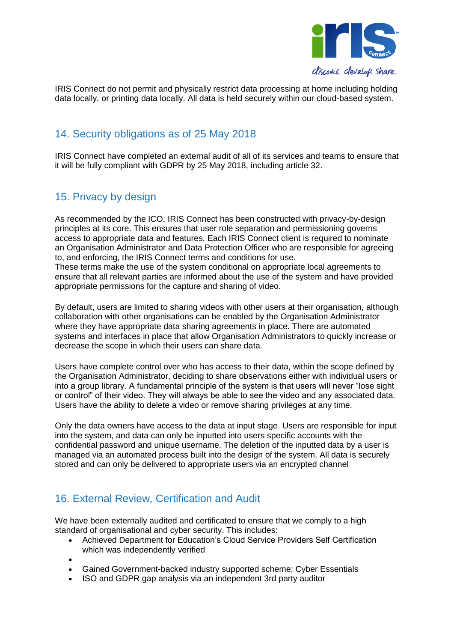

IRIS Connect do not permit and physically restrict data processing at home including holding data locally, or printing data locally. All data is held securely within our cloud-based system.

## 14. Security obligations as of 25 May 2018

IRIS Connect have completed an external audit of all of its services and teams to ensure that it will be fully compliant with GDPR by 25 May 2018, including article 32.

## 15. Privacy by design

As recommended by the ICO, IRIS Connect has been constructed with privacy-by-design principles at its core. This ensures that user role separation and permissioning governs access to appropriate data and features. Each IRIS Connect client is required to nominate an Organisation Administrator and Data Protection Officer who are responsible for agreeing to, and enforcing, the IRIS Connect terms and conditions for use.

These terms make the use of the system conditional on appropriate local agreements to ensure that all relevant parties are informed about the use of the system and have provided appropriate permissions for the capture and sharing of video.

By default, users are limited to sharing videos with other users at their organisation, although collaboration with other organisations can be enabled by the Organisation Administrator where they have appropriate data sharing agreements in place. There are automated systems and interfaces in place that allow Organisation Administrators to quickly increase or decrease the scope in which their users can share data.

Users have complete control over who has access to their data, within the scope defined by the Organisation Administrator, deciding to share observations either with individual users or into a group library. A fundamental principle of the system is that users will never "lose sight or control" of their video. They will always be able to see the video and any associated data. Users have the ability to delete a video or remove sharing privileges at any time.

Only the data owners have access to the data at input stage. Users are responsible for input into the system, and data can only be inputted into users specific accounts with the confidential password and unique username. The deletion of the inputted data by a user is managed via an automated process built into the design of the system. All data is securely stored and can only be delivered to appropriate users via an encrypted channel

## 16. External Review, Certification and Audit

We have been externally audited and certificated to ensure that we comply to a high standard of organisational and cyber security. This includes:

- Achieved Department for Education's Cloud Service Providers Self Certification which was independently verified
- $\bullet$
- Gained Government-backed industry supported scheme; Cyber Essentials
- ISO and GDPR gap analysis via an independent 3rd party auditor